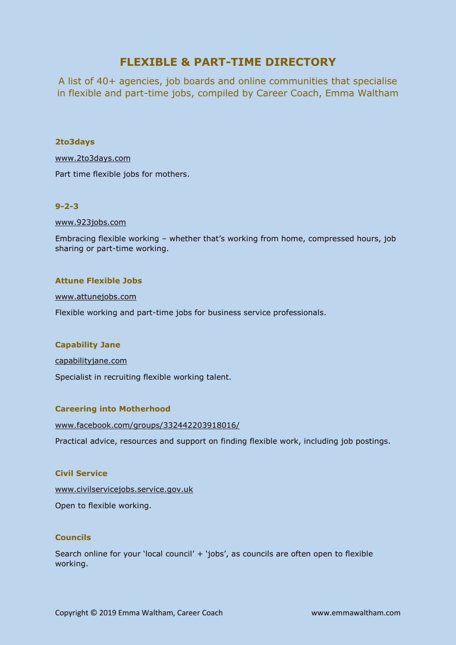# **FLEXIBLE & PART-TIME DIRECTORY**

A list of 40+ agencies, job boards and online communities that specialise in flexible and part-time jobs, compiled by Career Coach, Emma Waltham

# **2to3days**

[www.2to3days.com](http://www.2to3days.com/)

Part time flexible jobs for mothers.

# **9-2-3**

[www.923jobs.com](http://www.923jobs.com/)

Embracing flexible working – whether that's working from home, compressed hours, job sharing or part-time working.

# **Attune Flexible Jobs**

### <www.attunejobs.com>

Flexible working and part-time jobs for business service professionals.

# **Capability Jane**

[capabilityjane.com](https://capabilityjane.com/)

Specialist in recruiting flexible working talent.

# **Careering into Motherhood**

<www.facebook.com/groups/332442203918016/>

Practical advice, resources and support on finding flexible work, including job postings.

# **Civil Service**

<www.civilservicejobs.service.gov.uk> Open to flexible working.

# **Councils**

Search online for your 'local council' + 'jobs', as councils are often open to flexible working.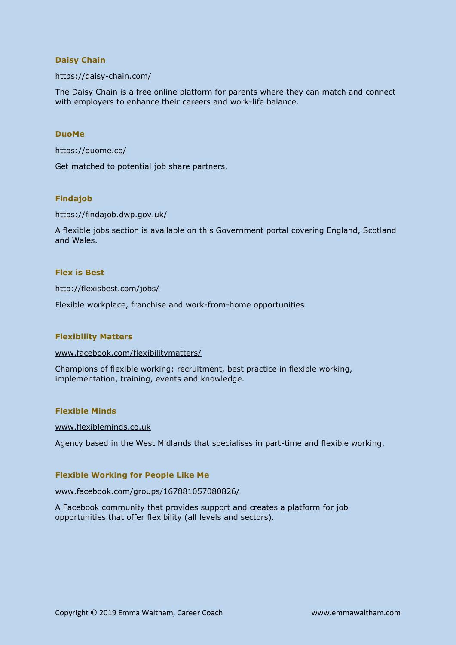# **Daisy Chain**

### <https://daisy-chain.com/>

The Daisy Chain is a free online platform for parents where they can match and connect with employers to enhance their careers and work-life balance.

### **DuoMe**

### <https://duome.co/>

Get matched to potential job share partners.

# **Findajob**

#### <https://findajob.dwp.gov.uk/>

A flexible jobs section is available on this Government portal covering England, Scotland and Wales.

# **Flex is Best**

<http://flexisbest.com/jobs/>

Flexible workplace, franchise and work-from-home opportunities

### **Flexibility Matters**

### [www.facebook.com/flexibilitymatters/](http://www.facebook.com/flexibilitymatters/)

Champions of flexible working: recruitment, best practice in flexible working, implementation, training, events and knowledge.

### **Flexible Minds**

### [www.flexibleminds.co.uk](http://www.flexibleminds.co.uk/)

Agency based in the West Midlands that specialises in part-time and flexible working.

### **Flexible Working for People Like Me**

### [www.facebook.com/groups/167881057080826/](http://www.facebook.com/groups/167881057080826/)

A Facebook community that provides support and creates a platform for job opportunities that offer flexibility (all levels and sectors).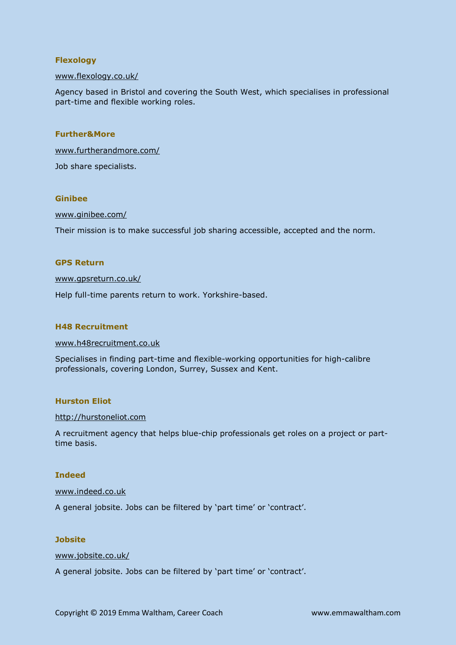# **Flexology**

### [www.flexology.co.uk/](http://www.flexology.co.uk/)

Agency based in Bristol and covering the South West, which specialises in professional part-time and flexible working roles.

### **Further&More**

[www.furtherandmore.com/](http://www.furtherandmore.com/) Job share specialists.

### **Ginibee**

# [www.ginibee.com/](http://www.ginibee.com/)

Their mission is to make successful job sharing accessible, accepted and the norm.

### **GPS Return**

#### [www.gpsreturn.co.uk/](http://www.gpsreturn.co.uk/)

Help full-time parents return to work. Yorkshire-based.

### **H48 Recruitment**

### [www.h48recruitment.co.uk](http://www.h48recruitment.co.uk/)

Specialises in finding part-time and flexible-working opportunities for high-calibre professionals, covering London, Surrey, Sussex and Kent.

### **Hurston Eliot**

#### [http://hurstoneliot.com](http://hurstoneliot.com/)

A recruitment agency that helps blue-chip professionals get roles on a project or parttime basis.

### **Indeed**

### [www.indeed.co.uk](http://www.indeed.co.uk/)

A general jobsite. Jobs can be filtered by 'part time' or 'contract'.

### **Jobsite**

### [www.jobsite.co.uk/](http://www.jobsite.co.uk/)

A general jobsite. Jobs can be filtered by 'part time' or 'contract'.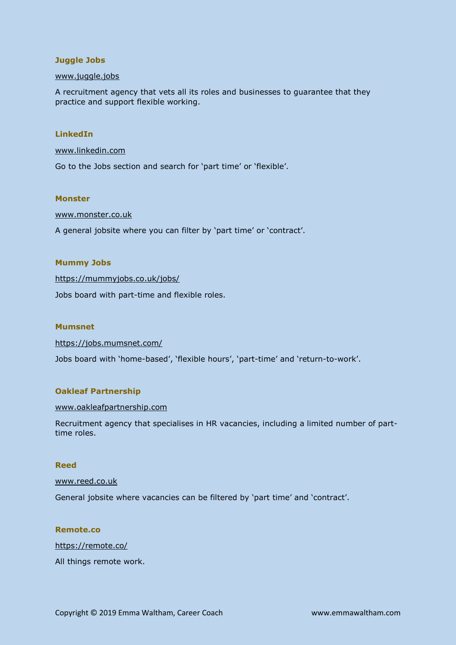# **Juggle Jobs**

### [www.juggle.jobs](http://www.juggle.jobs/)

A recruitment agency that vets all its roles and businesses to guarantee that they practice and support flexible working.

### **LinkedIn**

### [www.linkedin.com](http://www.linkedin.com/)

Go to the Jobs section and search for 'part time' or 'flexible'.

### **Monster**

### [www.monster.co.uk](http://www.monster.co.uk/)

A general jobsite where you can filter by 'part time' or 'contract'.

### **Mummy Jobs**

<https://mummyjobs.co.uk/jobs/>

Jobs board with part-time and flexible roles.

# **Mumsnet**

<https://jobs.mumsnet.com/>

Jobs board with 'home-based', 'flexible hours', 'part-time' and 'return-to-work'.

# **Oakleaf Partnership**

### [www.oakleafpartnership.com](http://www.oakleafpartnership.com/)

Recruitment agency that specialises in HR vacancies, including a limited number of parttime roles.

# **Reed**

### [www.reed.co.uk](http://www.reed.co.uk/)

General jobsite where vacancies can be filtered by 'part time' and 'contract'.

# **Remote.co**

<https://remote.co/>

All things remote work.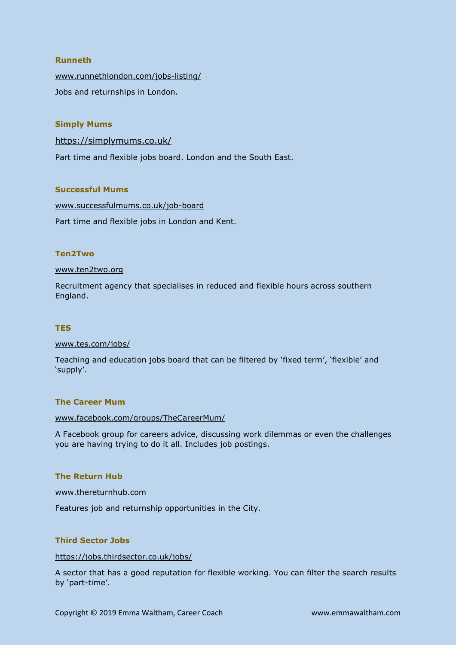# **Runneth**

[www.runnethlondon.com/jobs-listing/](http://www.runnethlondon.com/jobs-listing/) Jobs and returnships in London.

# **Simply Mums**

<https://simplymums.co.uk/>

Part time and flexible jobs board. London and the South East.

### **Successful Mums**

[www.successfulmums.co.uk/job-board](http://www.successfulmums.co.uk/job-board) Part time and flexible jobs in London and Kent.

### **Ten2Two**

### [www.ten2two.org](http://www.ten2two.org/)

Recruitment agency that specialises in reduced and flexible hours across southern England.

# **TES**

### [www.tes.com/jobs/](http://www.tes.com/jobs/)

Teaching and education jobs board that can be filtered by 'fixed term', 'flexible' and 'supply'.

### **The Career Mum**

### [www.facebook.com/groups/TheCareerMum/](http://www.facebook.com/groups/TheCareerMum/)

A Facebook group for careers advice, discussing work dilemmas or even the challenges you are having trying to do it all. Includes job postings.

# **The Return Hub**

### [www.thereturnhub.com](http://www.thereturnhub.com/)

Features job and returnship opportunities in the City.

# **Third Sector Jobs**

### <https://jobs.thirdsector.co.uk/jobs/>

A sector that has a good reputation for flexible working. You can filter the search results by 'part-time'.